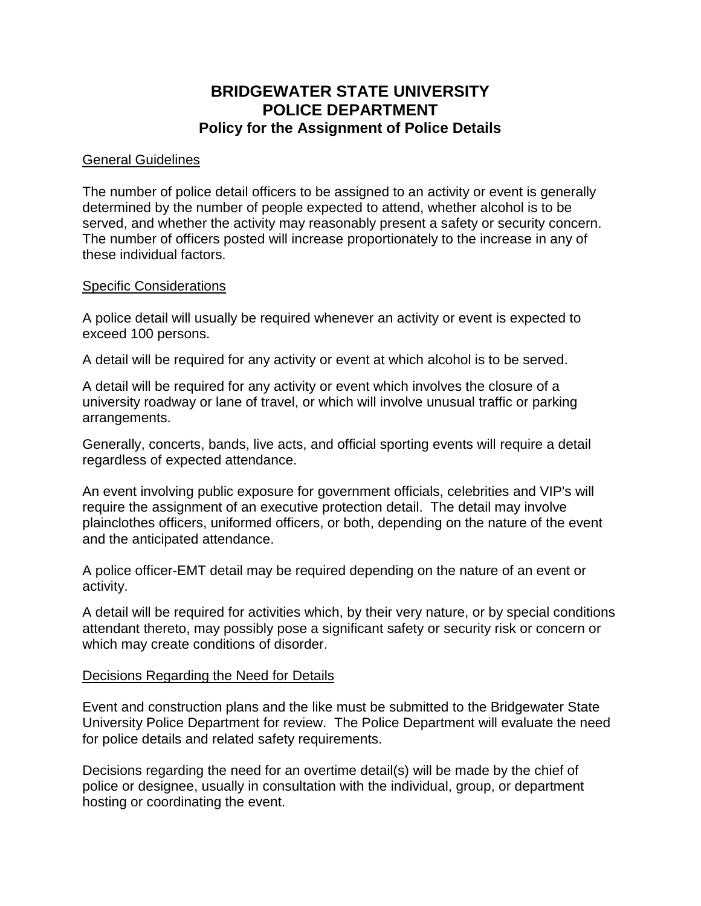# **BRIDGEWATER STATE UNIVERSITY POLICE DEPARTMENT Policy for the Assignment of Police Details**

## General Guidelines

The number of police detail officers to be assigned to an activity or event is generally determined by the number of people expected to attend, whether alcohol is to be served, and whether the activity may reasonably present a safety or security concern. The number of officers posted will increase proportionately to the increase in any of these individual factors.

## Specific Considerations

A police detail will usually be required whenever an activity or event is expected to exceed 100 persons.

A detail will be required for any activity or event at which alcohol is to be served.

A detail will be required for any activity or event which involves the closure of a university roadway or lane of travel, or which will involve unusual traffic or parking arrangements.

Generally, concerts, bands, live acts, and official sporting events will require a detail regardless of expected attendance.

An event involving public exposure for government officials, celebrities and VIP's will require the assignment of an executive protection detail. The detail may involve plainclothes officers, uniformed officers, or both, depending on the nature of the event and the anticipated attendance.

A police officer-EMT detail may be required depending on the nature of an event or activity.

A detail will be required for activities which, by their very nature, or by special conditions attendant thereto, may possibly pose a significant safety or security risk or concern or which may create conditions of disorder.

## Decisions Regarding the Need for Details

Event and construction plans and the like must be submitted to the Bridgewater State University Police Department for review. The Police Department will evaluate the need for police details and related safety requirements.

Decisions regarding the need for an overtime detail(s) will be made by the chief of police or designee, usually in consultation with the individual, group, or department hosting or coordinating the event.